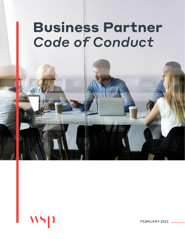# **Business Partner**  *Code of Conduct*



FEBRUARY 2022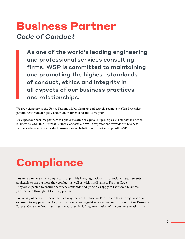### **Business Partner** *Code of Conduct*

As one of the world's leading engineering and professional services consulting firms, WSP is committed to maintaining and promoting the highest standards of conduct, ethics and integrity in all aspects of our business practices and relationships.

We are a signatory to the United Nations Global Compact and actively promote the Ten Principles pertaining to human rights, labour, environment and anti-corruption.

We expect our business partners to uphold the same or equivalent principles and standards of good business as WSP. This Business Partner Code sets out WSP's expectations towards our business partners whenever they conduct business for, on behalf of or in partnership with WSP.

# **Compliance**

Business partners must comply with applicable laws, regulations and associated requirements applicable to the business they conduct, as well as with this Business Partner Code. They are expected to ensure that these standards and principles apply to their own business partners and throughout their supply chain.

Business partners must never act in a way that could cause WSP to violate laws or regulations or expose it to any penalties. Any violations of a law, regulation or non-compliance with this Business Partner Code may lead to stringent measures, including termination of the business relationship.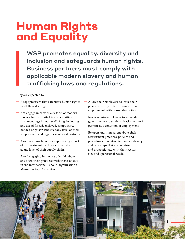# **Human Rights and Equality**

WSP promotes equality, diversity and inclusion and safeguards human rights. Business partners must comply with applicable modern slavery and human trafficking laws and regulations.

They are expected to:

- Adopt practices that safeguard human rights in all their dealings.
- Not engage in or with any form of modern slavery, human trafficking or activities that encourage human trafficking, including any use of forced, enslaved, compulsory, bonded or prison labour at any level of their supply chain and regardless of local customs.
- Avoid coercing labour or suppressing reports of mistreatment by threats of penalty at any level of their supply chain.
- Avoid engaging in the use of child labour and align their practices with those set out in the International Labour Organization's Minimum Age Convention.
- Allow their employees to leave their positions freely or to terminate their employment with reasonable notice.
- Never require employees to surrender government-issued identification or work permits as a condition of employment.
- Be open and transparent about their recruitment practices, policies and procedures in relation to modern slavery and take steps that are consistent and proportionate with their sector, size and operational reach.

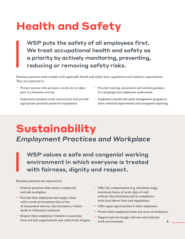# **Health and Safety**

WSP puts the safety of all employees first. We treat occupational health and safety as a priority by actively monitoring, preventing, reducing or removing safety risks.

Business partners must comply with applicable health and safety laws, regulations and industry requirements. They are expected to:

- Protect anyone who accesses a work site or takes part in a business activity.
- Implement standard work instructions and provide appropriate personal protective equipment.
- $-$  Provide training, procedures and similar guidance in a language that employees understand.
- Implement a health and safety management program to drive continual improvement and transparent reporting.

# **Sustainability**

#### *Employment Practices and Workplace*

WSP values a safe and congenial working environment in which everyone is treated with fairness, dignity and respect.

Business partners are expected to:

- Endorse practices that ensure a respectful and safe workplace.
- $-$  Provide their employees and supply chain with a work environment that is free of harassment and any discriminatory, violent, harsh or inhumane treatment.
- Respect their employees' freedom to associate, form and join organizations and collectively bargain.
- Offer fair compensation (e.g. minimum wage, maximum hours of work, days of rest) without discrimination and in compliance with local labour laws and regulations.
- Offer equal opportunities to their employees.
- $-$  Protect their employees from any form of retaliation.
- Support and encourage a diverse and inclusive work environment.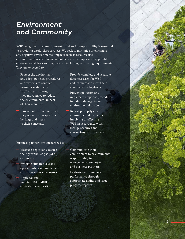#### *Environment and Community*

WSP recognizes that environmental and social responsibility is essential to providing world-class services. We seek to minimize or eliminate any negative environmental impacts such as resource use, emissions and waste. Business partners must comply with applicable environmental laws and regulations, including permitting requirements. They are expected to:

- Protect the environment and adopt policies, procedures and systems to conduct business sustainably. In all circumstances, they must strive to reduce the environmental impact of their activities.
- Care about the communities they operate in, respect their heritage and listen to their concerns.

 Provide complete and accurate data necessary for WSP and its clients to meet their compliance obligations.

 Prevent pollution and implement response procedures to reduce damage from environmental incidents.

 Report promptly any environmental incidents involving or affecting WSP in accordance with local procedures and contracting requirements.

#### Business partners are encouraged to:

 Measure, report and reduce their greenhouse gas (GHG) emissions.

 Evaluate climate risks and opportunities and implement climate resilience measures.

 Apply for and maintain ISO 14001 or equivalent certification.

 Communicate their commitment to environmental responsibility to management, employees and business partners.

 Evaluate environmental performance through appropriate audits and issue progress reports.

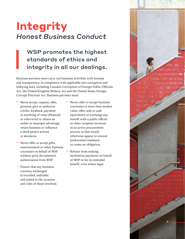### **Integrity** *Honest Business Conduct*

#### WSP promotes the highest standards of ethics and integrity in all our dealings.

Business partners must carry out business activities with honesty and transparency, in compliance with applicable anti-corruption and lobbying laws, including Canada's Corruption of Foreign Public Officials Act, the United Kingdom Bribery Act and the United States Foreign Corrupt Practices Act. Business partners must:

- Never accept, request, offer, promise, give or authorize a bribe, kickback, payment or anything of value (financial or otherwise) to obtain an unfair or improper advantage, retain business or influence a third party's actions or decisions.
- Never offer or accept gifts, entertainment or other business courtesies on behalf of WSP without prior documented authorization from WSP.
- Ensure that any business courtesy exchanged is recorded, auditable and suited to the occasion and roles of those involved.
- Never offer or accept business courtesies of more than modest value, offer cash or cash equivalents or exchange any benefit with a public official or other recipient involved in an active procurement process or that would otherwise appear to reward preferential treatment or create an obligation.
- Refrain from making facilitation payments on behalf of WSP or for its intended benefit, even where legal.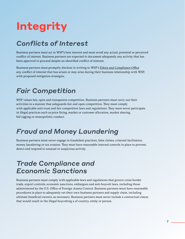# **Integrity**

#### *Conflicts of Interest*

Business partners must act in WSP's best interest and must avoid any actual, potential or perceived conflict of interest. Business partners are expected to document adequately any activity that has been approved to proceed despite an identified conflict of interest.

Business partners must promptly disclose in writing to WSP's [Ethics and Compliance Office](mailto:ethics@wsp.com) any conflict of interest that has arisen or may arise during their business relationship with WSP, with proposed mitigation strategies.

#### *Fair Competition*

WSP values fair, open and transparent competition. Business partners must carry out their activities in a manner that safeguards fair and open competition. They must comply with applicable anti-trust and fair competition laws and regulations. They must never participate in illegal practices such as price fixing, market or customer allocation, market sharing, bid rigging or monopolistic conduct.

#### *Fraud and Money Laundering*

Business partners must never engage in fraudulent practices, false claims, criminal facilitation, money laundering or tax evasion. They must have reasonable internal controls in place to prevent, detect and respond to unusual or suspicious activity.

#### *Trade Compliance and Economic Sanctions*

Business partners must comply with applicable laws and regulations that govern cross-border trade, export controls, economic sanctions, embargoes and anti-boycott laws, including those administered by the U.S. Office of Foreign Assets Control. Business partners must have reasonable procedures in place to adequately vet their own business partners and supply chain, including ultimate beneficial owners, as necessary. Business partners must never include a contractual clause that would result in the illegal boycotting a of country, entity or person.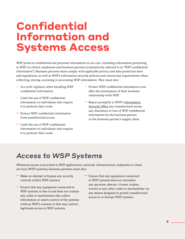## **Confidential Information and Systems Access**

WSP protects confidential and personal information in our care, including information pertaining to WSP, its clients, employees and business partners (cumulatively referred to as "WSP confidential information"). Business partners must comply with applicable privacy and data protection laws and regulations, as well as WSP's information security policies and contractual requirements when collecting, storing, accessing or processing WSP information. They must also:

- $-$  Act with vigilance when handling WSP confidential information.
- Limit the use of WSP confidential information to individuals who require it to perform their work.
- Protect WSP confidential information from unauthorized access.
- Limit the use of WSP confidential information to individuals who require it to perform their work.
- Protect WSP confidential information even after the termination of their business relationship with WSP.
- Report promptly to WSP's Information [Security Office](mailto:infosec%40wsp.com?subject=) any unauthorized access, use, disclosure or loss of WSP confidential information by the business partner or the business partner's supply chain.

#### *Access to WSP Systems*

Whenever access is provided to WSP applications, network, infrastructure, endpoints or cloud services (WSP systems), business partners must also:

- Make no attempt to bypass any security controls within WSP systems.
- Ensure that any equipment connected to WSP systems is free of and does not contain any codes or mechanisms that collect information or assert control of the systems without WSP's consent or that may restrict legitimate access to WSP systems.
- Ensure that any equipment connected to WSP systems does not introduce any spyware, adware, viruses, trojans, worms or any other codes or mechanisms via any means designed to permit unauthorized access to or disrupt WSP systems.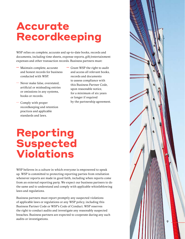## **Accurate Recordkeeping**

WSP relies on complete, accurate and up-to-date books, records and documents, including time sheets, expense reports, gift/entertainment expenses and other transaction records. Business partners must:

- Maintain complete, accurate and honest records for business conducted with WSP.
- Never make false, overstated, artificial or misleading entries or omissions in any systems, books or records.
- Comply with proper recordkeeping and retention practices and applicable standards and laws.
- Grant WSP the right to audit and access all relevant books, records and documents to assess compliance with this Business Partner Code, upon reasonable notice, for a minimum of six years or longer if required by the partnership agreement.

# **Reporting Suspected Violations**

WSP believes in a culture in which everyone is empowered to speak up. WSP is committed to protecting reporting parties from retaliation whenever reports are made in good faith, including when reports come from an external reporting party. We expect our business partners to do the same and to understand and comply with applicable whistleblowing laws and regulations.

Business partners must report promptly any suspected violations of applicable laws or regulations or any WSP policy, including this Business Partner Code or WSP's Code of Conduct. WSP reserves the right to conduct audits and investigate any reasonably suspected breaches. Business partners are expected to cooperate during any such audits or investigations.